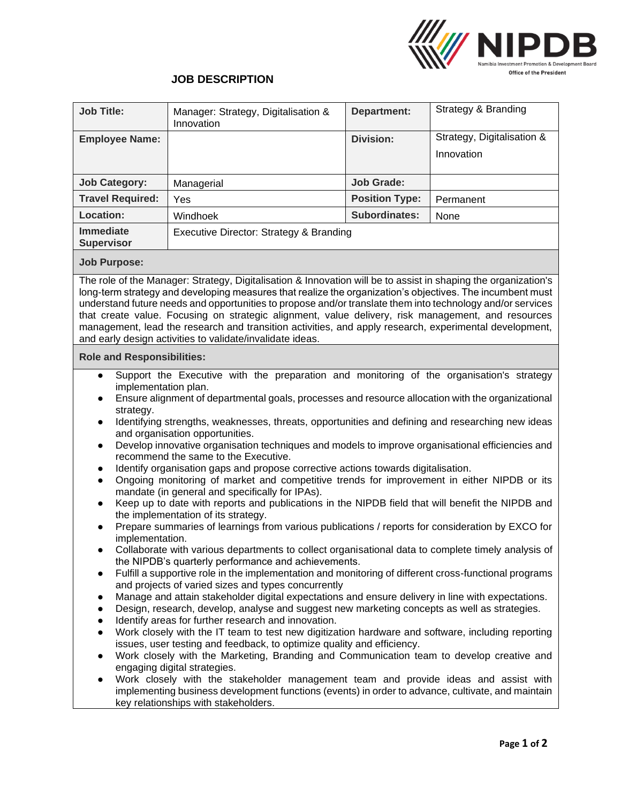

## **JOB DESCRIPTION**

| <b>Job Title:</b>              | Manager: Strategy, Digitalisation &<br>Innovation | Department:           | Strategy & Branding        |
|--------------------------------|---------------------------------------------------|-----------------------|----------------------------|
| <b>Employee Name:</b>          |                                                   | Division:             | Strategy, Digitalisation & |
|                                |                                                   |                       | Innovation                 |
|                                |                                                   |                       |                            |
| <b>Job Category:</b>           | Managerial                                        | Job Grade:            |                            |
| <b>Travel Required:</b>        | Yes                                               | <b>Position Type:</b> | Permanent                  |
| Location:                      | Windhoek                                          | Subordinates:         | None                       |
| Immediate<br><b>Supervisor</b> | Executive Director: Strategy & Branding           |                       |                            |

## **Job Purpose:**

The role of the Manager: Strategy, Digitalisation & Innovation will be to assist in shaping the organization's long-term strategy and developing measures that realize the organization's objectives. The incumbent must understand future needs and opportunities to propose and/or translate them into technology and/or services that create value. Focusing on strategic alignment, value delivery, risk management, and resources management, lead the research and transition activities, and apply research, experimental development, and early design activities to validate/invalidate ideas.

## **Role and Responsibilities:**

- Support the Executive with the preparation and monitoring of the organisation's strategy implementation plan.
- Ensure alignment of departmental goals, processes and resource allocation with the organizational strategy.
- Identifying strengths, weaknesses, threats, opportunities and defining and researching new ideas and organisation opportunities.
- Develop innovative organisation techniques and models to improve organisational efficiencies and recommend the same to the Executive.
- Identify organisation gaps and propose corrective actions towards digitalisation.
- Ongoing monitoring of market and competitive trends for improvement in either NIPDB or its mandate (in general and specifically for IPAs).
- Keep up to date with reports and publications in the NIPDB field that will benefit the NIPDB and the implementation of its strategy.
- Prepare summaries of learnings from various publications / reports for consideration by EXCO for implementation.
- Collaborate with various departments to collect organisational data to complete timely analysis of the NIPDB's quarterly performance and achievements.
- Fulfill a supportive role in the implementation and monitoring of different cross-functional programs and projects of varied sizes and types concurrently
- Manage and attain stakeholder digital expectations and ensure delivery in line with expectations.
- Design, research, develop, analyse and suggest new marketing concepts as well as strategies.
- Identify areas for further research and innovation.
- Work closely with the IT team to test new digitization hardware and software, including reporting issues, user testing and feedback, to optimize quality and efficiency.
- Work closely with the Marketing, Branding and Communication team to develop creative and engaging digital strategies.
- Work closely with the stakeholder management team and provide ideas and assist with implementing business development functions (events) in order to advance, cultivate, and maintain key relationships with stakeholders.